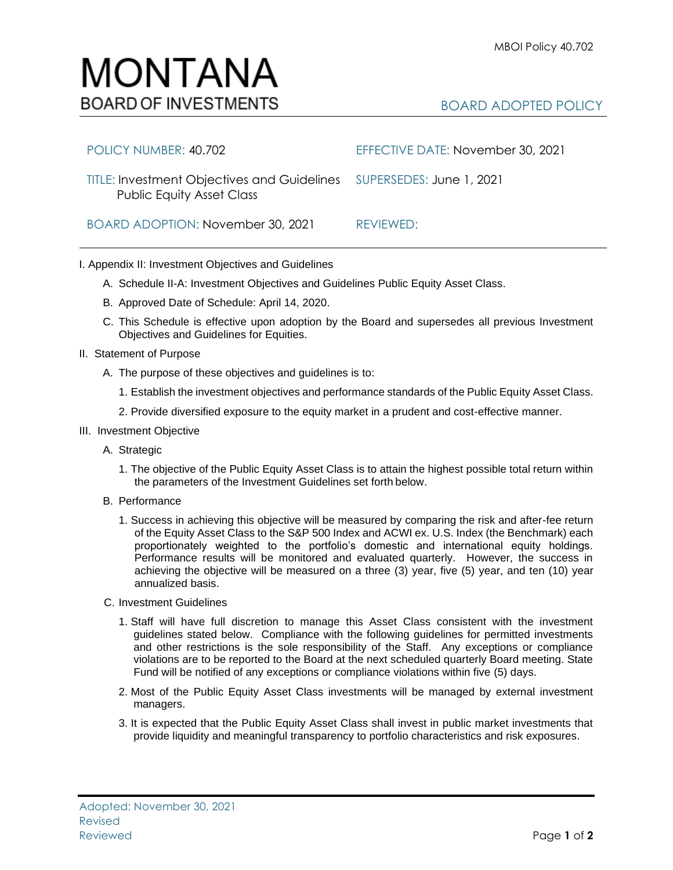## MONTANA **BOARD OF INVESTMENTS**

## BOARD ADOPTED POLICY

| POLICY NUMBER: 40.702                                                                                     | EFFECTIVE DATE: November 30, 2021 |
|-----------------------------------------------------------------------------------------------------------|-----------------------------------|
| TITLE: Investment Objectives and Guidelines  SUPERSEDES: June 1, 2021<br><b>Public Equity Asset Class</b> |                                   |
| BOARD ADOPTION: November 30, 2021                                                                         | REVIEWED:                         |

## I. Appendix II: Investment Objectives and Guidelines

- A. Schedule II-A: Investment Objectives and Guidelines Public Equity Asset Class.
- B. Approved Date of Schedule: April 14, 2020.
- C. This Schedule is effective upon adoption by the Board and supersedes all previous Investment Objectives and Guidelines for Equities.
- II. Statement of Purpose
	- A. The purpose of these objectives and guidelines is to:
		- 1. Establish the investment objectives and performance standards of the Public Equity Asset Class.
		- 2. Provide diversified exposure to the equity market in a prudent and cost-effective manner.
- III. Investment Objective
	- A. Strategic
		- 1. The objective of the Public Equity Asset Class is to attain the highest possible total return within the parameters of the Investment Guidelines set forth below.
	- B. Performance
		- 1. Success in achieving this objective will be measured by comparing the risk and after-fee return of the Equity Asset Class to the S&P 500 Index and ACWI ex. U.S. Index (the Benchmark) each proportionately weighted to the portfolio's domestic and international equity holdings. Performance results will be monitored and evaluated quarterly. However, the success in achieving the objective will be measured on a three (3) year, five (5) year, and ten (10) year annualized basis.
	- C. Investment Guidelines
		- 1. Staff will have full discretion to manage this Asset Class consistent with the investment guidelines stated below. Compliance with the following guidelines for permitted investments and other restrictions is the sole responsibility of the Staff. Any exceptions or compliance violations are to be reported to the Board at the next scheduled quarterly Board meeting. State Fund will be notified of any exceptions or compliance violations within five (5) days.
		- 2. Most of the Public Equity Asset Class investments will be managed by external investment managers.
		- 3. It is expected that the Public Equity Asset Class shall invest in public market investments that provide liquidity and meaningful transparency to portfolio characteristics and risk exposures.